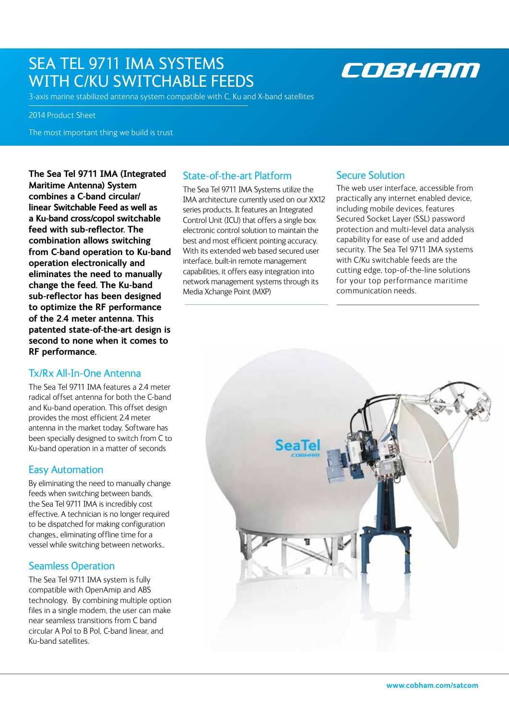### SEA TEL 9711 IMA SYSTEMS WITH C/KU SWITCHABLE FEEDS

## COBHAM

3-axis marine stabilized antenna system compatible with C, Ku and X-band satellites

2014 Product Sheet

The most important thing we build is trust

**The Sea Tel 9711 IMA (Integrated Maritime Antenna) System combines a C-band circular/ linear Switchable Feed as well as a Ku-band cross/copol switchable feed with sub-reflector. The combination allows switching from C-band operation to Ku-band operation electronically and eliminates the need to manually change the feed. The Ku-band sub-reflector has been designed to optimize the RF performance of the 2.4 meter antenna. This patented state-of-the-art design is second to none when it comes to RF performance.**

#### Tx/Rx All-In-One Antenna

The Sea Tel 9711 IMA features a 2.4 meter radical offset antenna for both the C-band and Ku-band operation. This offset design provides the most efficient 2.4 meter antenna in the market today. Software has been specially designed to switch from C to Ku-band operation in a matter of seconds

#### Easy Automation

By eliminating the need to manually change feeds when switching between bands, the Sea Tel 9711 IMA is incredibly cost effective. A technician is no longer required to be dispatched for making configuration changes., eliminating offline time for a vessel while switching between networks..

#### Seamless Operation

The Sea Tel 9711 IMA system is fully compatible with OpenAmip and ABS technology. By combining multiple option files in a single modem, the user can make near seamless transitions from C band circular A Pol to B Pol, C-band linear, and Ku-band satellites.

### State-of-the-art Platform

The Sea Tel 9711 IMA Systems utilize the IMA architecture currently used on our XX12 series products. It features an Integrated Control Unit (ICU) that offers a single box electronic control solution to maintain the best and most efficient pointing accuracy. With its extended web based secured user interface, built-in remote management capabilities, it offers easy integration into network management systems through its Media Xchange Point (MXP)

#### Secure Solution

The web user interface, accessible from practically any internet enabled device, including mobile devices, features Secured Socket Layer (SSL) password protection and multi-level data analysis capability for ease of use and added security. The Sea Tel 9711 IMA systems with C/Ku switchable feeds are the cutting edge, top-of-the-line solutions for your top performance maritime communication needs.